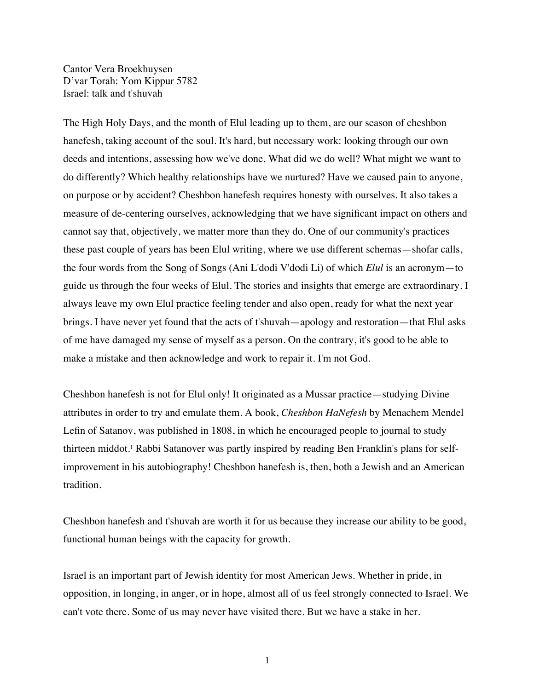Cantor Vera Broekhuysen D'var Torah: Yom Kippur 5782 Israel: talk and t'shuvah

The High Holy Days, and the month of Elul leading up to them, are our season of cheshbon hanefesh, taking account of the soul. It's hard, but necessary work: looking through our own deeds and intentions, assessing how we've done. What did we do well? What might we want to do differently? Which healthy relationships have we nurtured? Have we caused pain to anyone, on purpose or by accident? Cheshbon hanefesh requires honesty with ourselves. It also takes a measure of de-centering ourselves, acknowledging that we have significant impact on others and cannot say that, objectively, we matter more than they do. One of our community's practices these past couple of years has been Elul writing, where we use different schemas—shofar calls, the four words from the Song of Songs (Ani L'dodi V'dodi Li) of which *Elul* is an acronym—to guide us through the four weeks of Elul. The stories and insights that emerge are extraordinary. I always leave my own Elul practice feeling tender and also open, ready for what the next year brings. I have never yet found that the acts of t'shuvah—apology and restoration—that Elul asks of me have damaged my sense of myself as a person. On the contrary, it's good to be able to make a mistake and then acknowledge and work to repair it. I'm not God.

Cheshbon hanefesh is not for Elul only! It originated as a Mussar practice—studying Divine attributes in order to try and emulate them. A book, *Cheshbon HaNefesh* by Menachem Mendel Lefin of Satanov, was published in 1808, in which he encouraged people to journal to study thirteen middot.1 Rabbi Satanover was partly inspired by reading Ben Franklin's plans for selfimprovement in his autobiography! Cheshbon hanefesh is, then, both a Jewish and an American tradition.

Cheshbon hanefesh and t'shuvah are worth it for us because they increase our ability to be good, functional human beings with the capacity for growth.

Israel is an important part of Jewish identity for most American Jews. Whether in pride, in opposition, in longing, in anger, or in hope, almost all of us feel strongly connected to Israel. We can't vote there. Some of us may never have visited there. But we have a stake in her.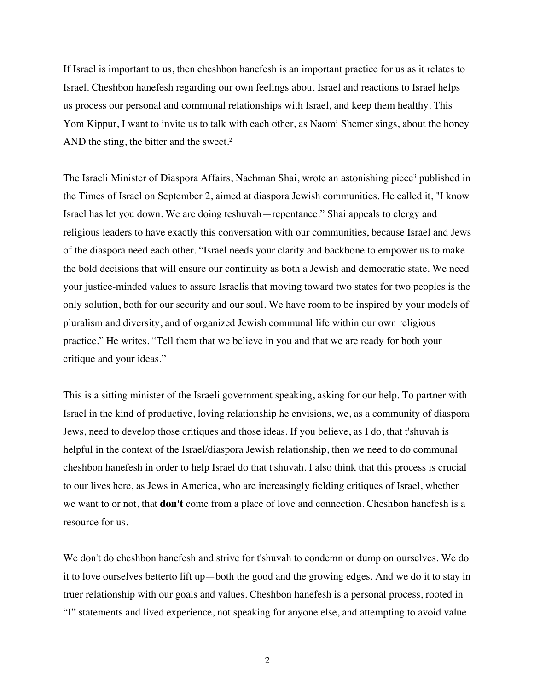If Israel is important to us, then cheshbon hanefesh is an important practice for us as it relates to Israel. Cheshbon hanefesh regarding our own feelings about Israel and reactions to Israel helps us process our personal and communal relationships with Israel, and keep them healthy. This Yom Kippur, I want to invite us to talk with each other, as Naomi Shemer sings, about the honey AND the sting, the bitter and the sweet.<sup>2</sup>

The Israeli Minister of Diaspora Affairs, Nachman Shai, wrote an astonishing piece<sup>3</sup> published in the Times of Israel on September 2, aimed at diaspora Jewish communities. He called it, "I know Israel has let you down. We are doing teshuvah—repentance." Shai appeals to clergy and religious leaders to have exactly this conversation with our communities, because Israel and Jews of the diaspora need each other. "Israel needs your clarity and backbone to empower us to make the bold decisions that will ensure our continuity as both a Jewish and democratic state. We need your justice-minded values to assure Israelis that moving toward two states for two peoples is the only solution, both for our security and our soul. We have room to be inspired by your models of pluralism and diversity, and of organized Jewish communal life within our own religious practice." He writes, "Tell them that we believe in you and that we are ready for both your critique and your ideas."

This is a sitting minister of the Israeli government speaking, asking for our help. To partner with Israel in the kind of productive, loving relationship he envisions, we, as a community of diaspora Jews, need to develop those critiques and those ideas. If you believe, as I do, that t'shuvah is helpful in the context of the Israel/diaspora Jewish relationship, then we need to do communal cheshbon hanefesh in order to help Israel do that t'shuvah. I also think that this process is crucial to our lives here, as Jews in America, who are increasingly fielding critiques of Israel, whether we want to or not, that **don't** come from a place of love and connection. Cheshbon hanefesh is a resource for us.

We don't do cheshbon hanefesh and strive for t'shuvah to condemn or dump on ourselves. We do it to love ourselves betterto lift up—both the good and the growing edges. And we do it to stay in truer relationship with our goals and values. Cheshbon hanefesh is a personal process, rooted in "I" statements and lived experience, not speaking for anyone else, and attempting to avoid value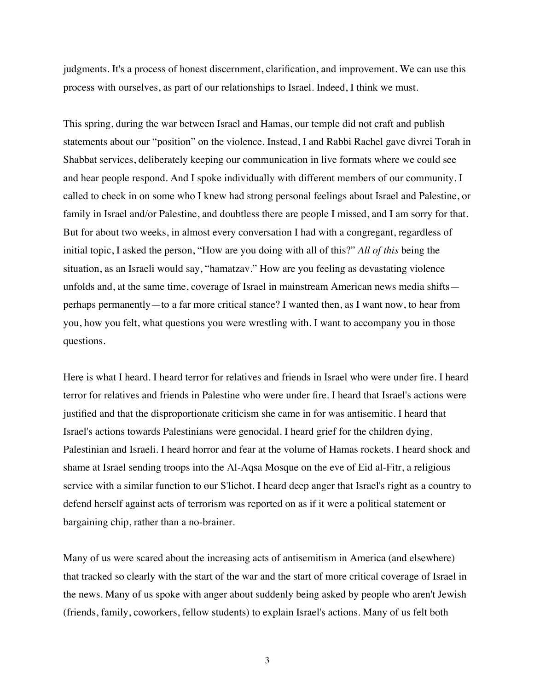judgments. It's a process of honest discernment, clarification, and improvement. We can use this process with ourselves, as part of our relationships to Israel. Indeed, I think we must.

This spring, during the war between Israel and Hamas, our temple did not craft and publish statements about our "position" on the violence. Instead, I and Rabbi Rachel gave divrei Torah in Shabbat services, deliberately keeping our communication in live formats where we could see and hear people respond. And I spoke individually with different members of our community. I called to check in on some who I knew had strong personal feelings about Israel and Palestine, or family in Israel and/or Palestine, and doubtless there are people I missed, and I am sorry for that. But for about two weeks, in almost every conversation I had with a congregant, regardless of initial topic, I asked the person, "How are you doing with all of this?" *All of this* being the situation, as an Israeli would say, "hamatzav." How are you feeling as devastating violence unfolds and, at the same time, coverage of Israel in mainstream American news media shifts perhaps permanently—to a far more critical stance? I wanted then, as I want now, to hear from you, how you felt, what questions you were wrestling with. I want to accompany you in those questions.

Here is what I heard. I heard terror for relatives and friends in Israel who were under fire. I heard terror for relatives and friends in Palestine who were under fire. I heard that Israel's actions were justified and that the disproportionate criticism she came in for was antisemitic. I heard that Israel's actions towards Palestinians were genocidal. I heard grief for the children dying, Palestinian and Israeli. I heard horror and fear at the volume of Hamas rockets. I heard shock and shame at Israel sending troops into the Al-Aqsa Mosque on the eve of Eid al-Fitr, a religious service with a similar function to our S'lichot. I heard deep anger that Israel's right as a country to defend herself against acts of terrorism was reported on as if it were a political statement or bargaining chip, rather than a no-brainer.

Many of us were scared about the increasing acts of antisemitism in America (and elsewhere) that tracked so clearly with the start of the war and the start of more critical coverage of Israel in the news. Many of us spoke with anger about suddenly being asked by people who aren't Jewish (friends, family, coworkers, fellow students) to explain Israel's actions. Many of us felt both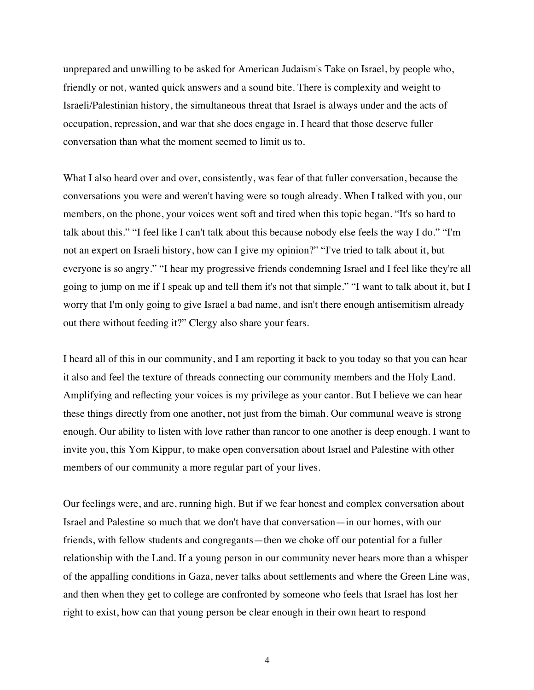unprepared and unwilling to be asked for American Judaism's Take on Israel, by people who, friendly or not, wanted quick answers and a sound bite. There is complexity and weight to Israeli/Palestinian history, the simultaneous threat that Israel is always under and the acts of occupation, repression, and war that she does engage in. I heard that those deserve fuller conversation than what the moment seemed to limit us to.

What I also heard over and over, consistently, was fear of that fuller conversation, because the conversations you were and weren't having were so tough already. When I talked with you, our members, on the phone, your voices went soft and tired when this topic began. "It's so hard to talk about this." "I feel like I can't talk about this because nobody else feels the way I do." "I'm not an expert on Israeli history, how can I give my opinion?" "I've tried to talk about it, but everyone is so angry." "I hear my progressive friends condemning Israel and I feel like they're all going to jump on me if I speak up and tell them it's not that simple." "I want to talk about it, but I worry that I'm only going to give Israel a bad name, and isn't there enough antisemitism already out there without feeding it?" Clergy also share your fears.

I heard all of this in our community, and I am reporting it back to you today so that you can hear it also and feel the texture of threads connecting our community members and the Holy Land. Amplifying and reflecting your voices is my privilege as your cantor. But I believe we can hear these things directly from one another, not just from the bimah. Our communal weave is strong enough. Our ability to listen with love rather than rancor to one another is deep enough. I want to invite you, this Yom Kippur, to make open conversation about Israel and Palestine with other members of our community a more regular part of your lives.

Our feelings were, and are, running high. But if we fear honest and complex conversation about Israel and Palestine so much that we don't have that conversation—in our homes, with our friends, with fellow students and congregants—then we choke off our potential for a fuller relationship with the Land. If a young person in our community never hears more than a whisper of the appalling conditions in Gaza, never talks about settlements and where the Green Line was, and then when they get to college are confronted by someone who feels that Israel has lost her right to exist, how can that young person be clear enough in their own heart to respond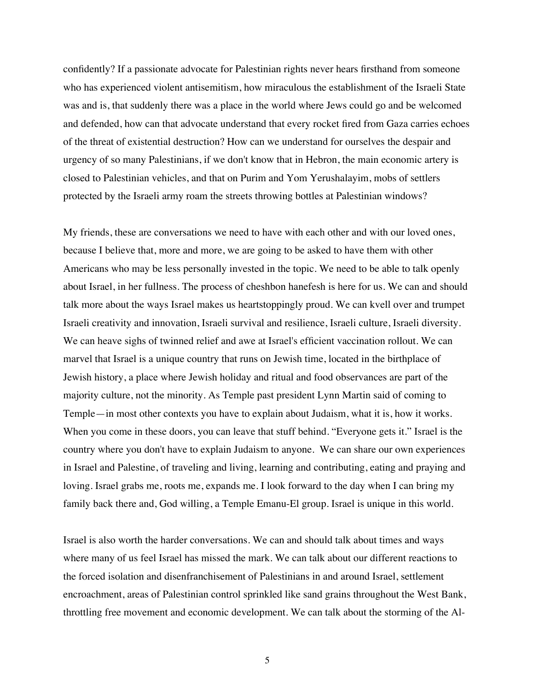confidently? If a passionate advocate for Palestinian rights never hears firsthand from someone who has experienced violent antisemitism, how miraculous the establishment of the Israeli State was and is, that suddenly there was a place in the world where Jews could go and be welcomed and defended, how can that advocate understand that every rocket fired from Gaza carries echoes of the threat of existential destruction? How can we understand for ourselves the despair and urgency of so many Palestinians, if we don't know that in Hebron, the main economic artery is closed to Palestinian vehicles, and that on Purim and Yom Yerushalayim, mobs of settlers protected by the Israeli army roam the streets throwing bottles at Palestinian windows?

My friends, these are conversations we need to have with each other and with our loved ones, because I believe that, more and more, we are going to be asked to have them with other Americans who may be less personally invested in the topic. We need to be able to talk openly about Israel, in her fullness. The process of cheshbon hanefesh is here for us. We can and should talk more about the ways Israel makes us heartstoppingly proud. We can kvell over and trumpet Israeli creativity and innovation, Israeli survival and resilience, Israeli culture, Israeli diversity. We can heave sighs of twinned relief and awe at Israel's efficient vaccination rollout. We can marvel that Israel is a unique country that runs on Jewish time, located in the birthplace of Jewish history, a place where Jewish holiday and ritual and food observances are part of the majority culture, not the minority. As Temple past president Lynn Martin said of coming to Temple—in most other contexts you have to explain about Judaism, what it is, how it works. When you come in these doors, you can leave that stuff behind. "Everyone gets it." Israel is the country where you don't have to explain Judaism to anyone. We can share our own experiences in Israel and Palestine, of traveling and living, learning and contributing, eating and praying and loving. Israel grabs me, roots me, expands me. I look forward to the day when I can bring my family back there and, God willing, a Temple Emanu-El group. Israel is unique in this world.

Israel is also worth the harder conversations. We can and should talk about times and ways where many of us feel Israel has missed the mark. We can talk about our different reactions to the forced isolation and disenfranchisement of Palestinians in and around Israel, settlement encroachment, areas of Palestinian control sprinkled like sand grains throughout the West Bank, throttling free movement and economic development. We can talk about the storming of the Al-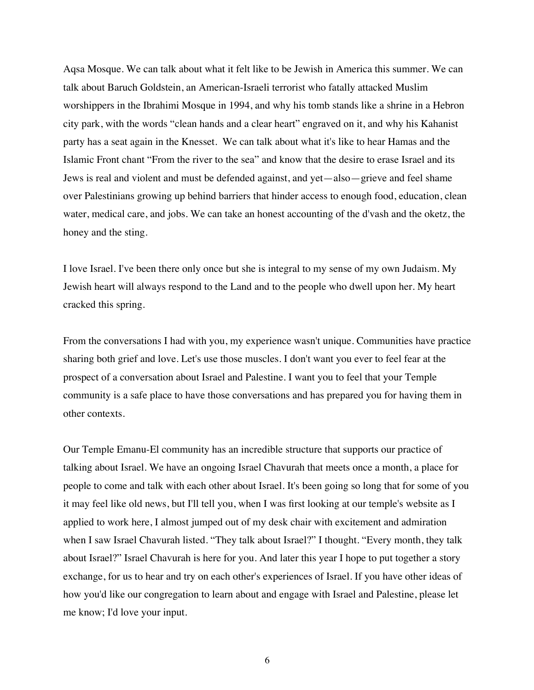Aqsa Mosque. We can talk about what it felt like to be Jewish in America this summer. We can talk about Baruch Goldstein, an American-Israeli terrorist who fatally attacked Muslim worshippers in the Ibrahimi Mosque in 1994, and why his tomb stands like a shrine in a Hebron city park, with the words "clean hands and a clear heart" engraved on it, and why his Kahanist party has a seat again in the Knesset. We can talk about what it's like to hear Hamas and the Islamic Front chant "From the river to the sea" and know that the desire to erase Israel and its Jews is real and violent and must be defended against, and yet—also—grieve and feel shame over Palestinians growing up behind barriers that hinder access to enough food, education, clean water, medical care, and jobs. We can take an honest accounting of the d'vash and the oketz, the honey and the sting.

I love Israel. I've been there only once but she is integral to my sense of my own Judaism. My Jewish heart will always respond to the Land and to the people who dwell upon her. My heart cracked this spring.

From the conversations I had with you, my experience wasn't unique. Communities have practice sharing both grief and love. Let's use those muscles. I don't want you ever to feel fear at the prospect of a conversation about Israel and Palestine. I want you to feel that your Temple community is a safe place to have those conversations and has prepared you for having them in other contexts.

Our Temple Emanu-El community has an incredible structure that supports our practice of talking about Israel. We have an ongoing Israel Chavurah that meets once a month, a place for people to come and talk with each other about Israel. It's been going so long that for some of you it may feel like old news, but I'll tell you, when I was first looking at our temple's website as I applied to work here, I almost jumped out of my desk chair with excitement and admiration when I saw Israel Chavurah listed. "They talk about Israel?" I thought. "Every month, they talk about Israel?" Israel Chavurah is here for you. And later this year I hope to put together a story exchange, for us to hear and try on each other's experiences of Israel. If you have other ideas of how you'd like our congregation to learn about and engage with Israel and Palestine, please let me know; I'd love your input.